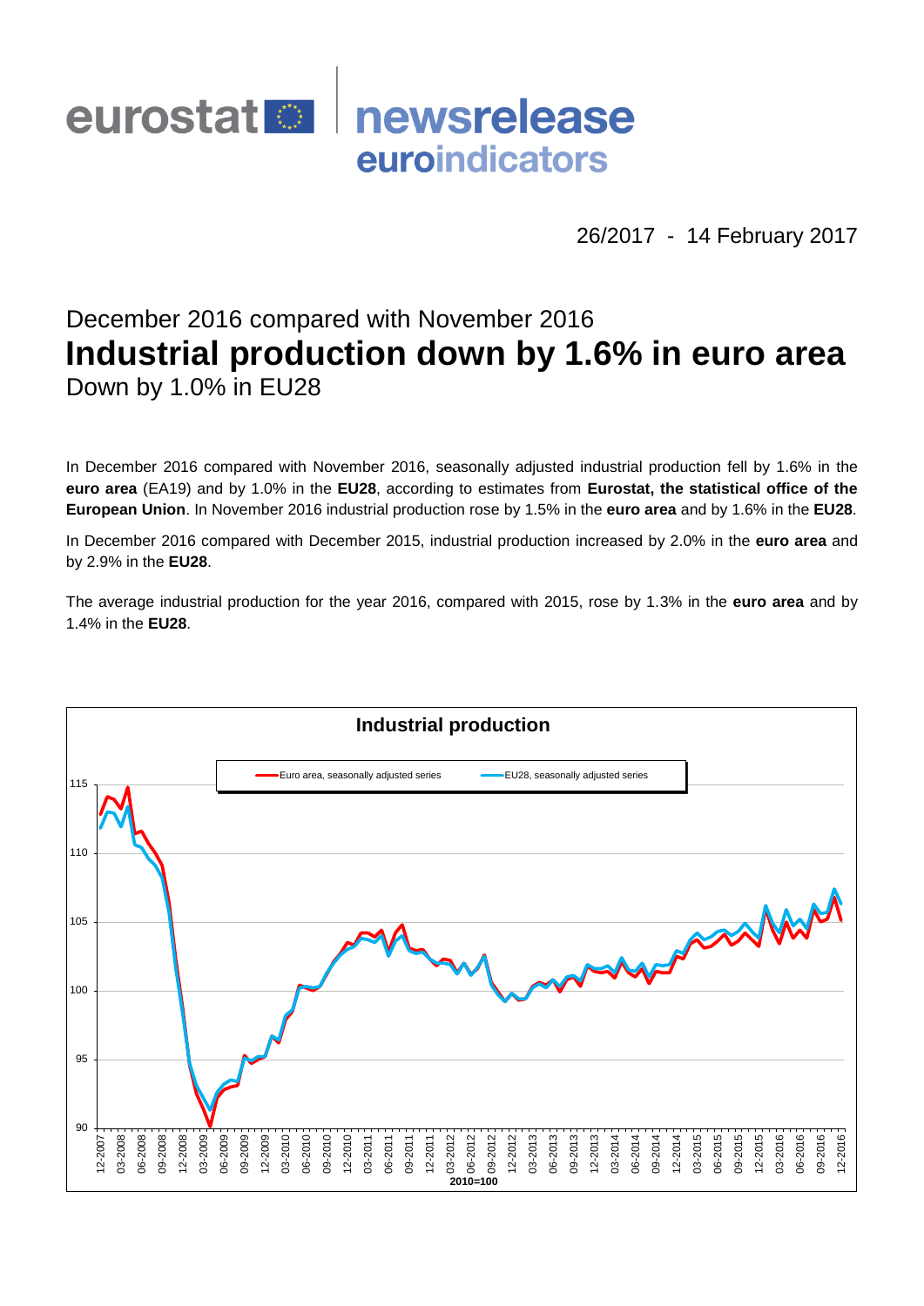# newsrelease eurostat<sup>o</sup> euroindicators

26/2017 - 14 February 2017

# December 2016 compared with November 2016 **Industrial production down by 1.6% in euro area** Down by 1.0% in EU28

In December 2016 compared with November 2016, seasonally adjusted industrial production fell by 1.6% in the **euro area** (EA19) and by 1.0% in the **EU28**, according to estimates from **Eurostat, the statistical office of the European Union**. In November 2016 industrial production rose by 1.5% in the **euro area** and by 1.6% in the **EU28**.

In December 2016 compared with December 2015, industrial production increased by 2.0% in the **euro area** and by 2.9% in the **EU28**.

The average industrial production for the year 2016, compared with 2015, rose by 1.3% in the **euro area** and by 1.4% in the **EU28**.

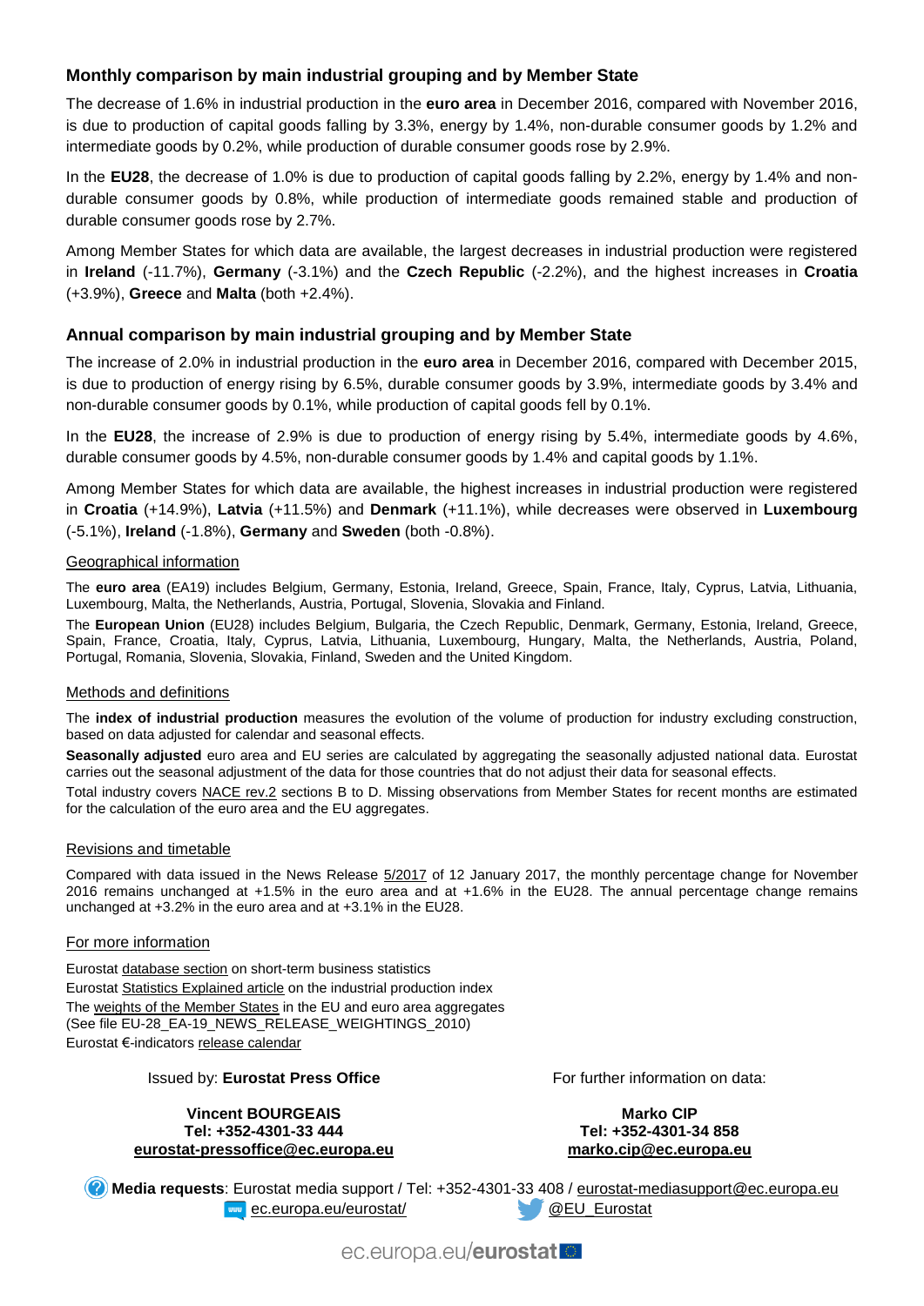# **Monthly comparison by main industrial grouping and by Member State**

The decrease of 1.6% in industrial production in the **euro area** in December 2016, compared with November 2016, is due to production of capital goods falling by 3.3%, energy by 1.4%, non-durable consumer goods by 1.2% and intermediate goods by 0.2%, while production of durable consumer goods rose by 2.9%.

In the **EU28**, the decrease of 1.0% is due to production of capital goods falling by 2.2%, energy by 1.4% and nondurable consumer goods by 0.8%, while production of intermediate goods remained stable and production of durable consumer goods rose by 2.7%.

Among Member States for which data are available, the largest decreases in industrial production were registered in **Ireland** (-11.7%), **Germany** (-3.1%) and the **Czech Republic** (-2.2%), and the highest increases in **Croatia**  (+3.9%), **Greece** and **Malta** (both +2.4%).

## **Annual comparison by main industrial grouping and by Member State**

The increase of 2.0% in industrial production in the **euro area** in December 2016, compared with December 2015, is due to production of energy rising by 6.5%, durable consumer goods by 3.9%, intermediate goods by 3.4% and non-durable consumer goods by 0.1%, while production of capital goods fell by 0.1%.

In the **EU28**, the increase of 2.9% is due to production of energy rising by 5.4%, intermediate goods by 4.6%, durable consumer goods by 4.5%, non-durable consumer goods by 1.4% and capital goods by 1.1%.

Among Member States for which data are available, the highest increases in industrial production were registered in **Croatia** (+14.9%), **Latvia** (+11.5%) and **Denmark** (+11.1%), while decreases were observed in **Luxembourg**  (-5.1%), **Ireland** (-1.8%), **Germany** and **Sweden** (both -0.8%).

#### Geographical information

The **euro area** (EA19) includes Belgium, Germany, Estonia, Ireland, Greece, Spain, France, Italy, Cyprus, Latvia, Lithuania, Luxembourg, Malta, the Netherlands, Austria, Portugal, Slovenia, Slovakia and Finland.

The **European Union** (EU28) includes Belgium, Bulgaria, the Czech Republic, Denmark, Germany, Estonia, Ireland, Greece, Spain, France, Croatia, Italy, Cyprus, Latvia, Lithuania, Luxembourg, Hungary, Malta, the Netherlands, Austria, Poland, Portugal, Romania, Slovenia, Slovakia, Finland, Sweden and the United Kingdom.

#### Methods and definitions

The **index of industrial production** measures the evolution of the volume of production for industry excluding construction, based on data adjusted for calendar and seasonal effects.

**Seasonally adjusted** euro area and EU series are calculated by aggregating the seasonally adjusted national data. Eurostat carries out the seasonal adjustment of the data for those countries that do not adjust their data for seasonal effects.

Total industry covers [NACE rev.2](http://ec.europa.eu/eurostat/ramon/nomenclatures/index.cfm?TargetUrl=LST_NOM_DTL&StrNom=NACE_REV2&StrLanguageCode=EN&IntPcKey=&StrLayoutCode=HIERARCHIC) sections B to D. Missing observations from Member States for recent months are estimated for the calculation of the euro area and the EU aggregates.

#### Revisions and timetable

Compared with data issued in the News Release [5/2017](http://ec.europa.eu/eurostat/documents/2995521/7789579/4-12012017-AP-EN.pdf/858875b7-3a58-4970-b7e3-118b44e36398) of 12 January 2017, the monthly percentage change for November 2016 remains unchanged at +1.5% in the euro area and at +1.6% in the EU28. The annual percentage change remains unchanged at +3.2% in the euro area and at +3.1% in the EU28.

#### For more information

Eurosta[t database section](http://ec.europa.eu/eurostat/web/short-term-business-statistics/data/database) on short-term business statistics Eurosta[t Statistics Explained article](http://ec.europa.eu/eurostat/statistics-explained/index.php/Industrial_production_(volume)_index_overview) on the industrial production index Th[e weights of the Member States](https://circabc.europa.eu/w/browse/5e6d1e48-056c-4c6a-8278-3ab138bcf575) in the EU and euro area aggregates (See file EU-28\_EA-19\_NEWS\_RELEASE\_WEIGHTINGS\_2010) Eurostat €-indicator[s release calendar](http://ec.europa.eu/eurostat/news/release-calendar)

#### Issued by: **Eurostat Press Office**

**Vincent BOURGEAIS Tel: +352-4301-33 444 [eurostat-pressoffice@ec.europa.eu](mailto:eurostat-pressoffice@ec.europa.eu)** For further information on data:

**Marko CIP Tel: +352-4301-34 858 [marko.cip@ec.europa.eu](mailto:marko.cip@ec.europa.eu)**

**Media requests**: Eurostat media support / Tel: +352-4301-33 408 / [eurostat-mediasupport@ec.europa.eu](mailto:eurostat-mediasupport@ec.europa.eu) **EXAMPLE** [ec.europa.eu/eurostat/](http://ec.europa.eu/eurostat/) **WEU\_Eurostat** 

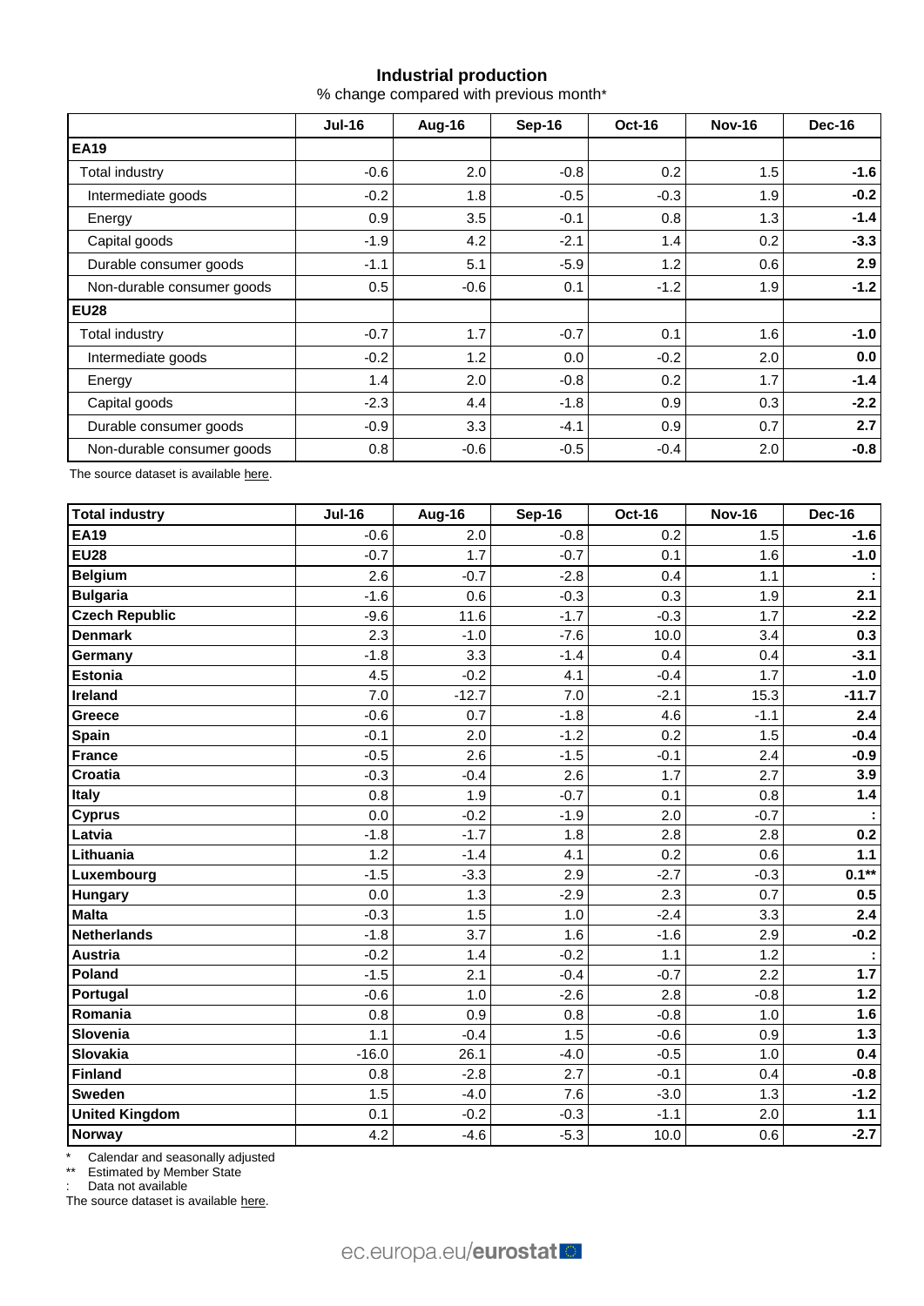## **Industrial production**

% change compared with previous month\*

|                            | $Jul-16$ | Aug-16 | Sep-16 | <b>Oct-16</b> | <b>Nov-16</b> | Dec-16 |  |
|----------------------------|----------|--------|--------|---------------|---------------|--------|--|
| <b>EA19</b>                |          |        |        |               |               |        |  |
| Total industry             | $-0.6$   | 2.0    | $-0.8$ | 0.2           | 1.5           | $-1.6$ |  |
| Intermediate goods         | $-0.2$   | 1.8    | $-0.5$ | $-0.3$        | 1.9           | $-0.2$ |  |
| Energy                     | 0.9      | 3.5    | $-0.1$ | 0.8           | 1.3           | $-1.4$ |  |
| Capital goods              | $-1.9$   | 4.2    | $-2.1$ | 1.4           | 0.2           | $-3.3$ |  |
| Durable consumer goods     | $-1.1$   | 5.1    | $-5.9$ | 1.2           | 0.6           | 2.9    |  |
| Non-durable consumer goods | 0.5      | $-0.6$ | 0.1    | $-1.2$        | 1.9           | $-1.2$ |  |
| <b>EU28</b>                |          |        |        |               |               |        |  |
| Total industry             | $-0.7$   | 1.7    | $-0.7$ | 0.1           | 1.6           | $-1.0$ |  |
| Intermediate goods         | $-0.2$   | 1.2    | 0.0    | $-0.2$        | 2.0           | 0.0    |  |
| Energy                     | 1.4      | 2.0    | $-0.8$ | 0.2           | 1.7           | $-1.4$ |  |
| Capital goods              | $-2.3$   | 4.4    | $-1.8$ | 0.9           | 0.3           | $-2.2$ |  |
| Durable consumer goods     | $-0.9$   | 3.3    | $-4.1$ | 0.9           | 0.7           | 2.7    |  |
| Non-durable consumer goods | 0.8      | $-0.6$ | $-0.5$ | $-0.4$        | 2.0           | $-0.8$ |  |

The source dataset is availabl[e here.](http://appsso.eurostat.ec.europa.eu/nui/show.do?query=BOOKMARK_DS-069583_QID_-53045BCF_UID_-3F171EB0&layout=TIME,C,X,0;GEO,L,Y,0;NACE_R2,L,Y,1;INDIC_BT,L,Z,0;S_ADJ,L,Z,1;UNIT,L,Z,2;INDICATORS,C,Z,3;&zSelection=DS-069583UNIT,PCH_PRE;DS-069583S_ADJ,SCA;DS-069583INDIC_BT,PROD;DS-069583INDICATORS,OBS_FLAG;&rankName1=UNIT_1_2_-1_2&rankName2=INDIC-BT_1_2_-1_2&rankName3=INDICATORS_1_2_-1_2&rankName4=S-ADJ_1_2_-1_2&rankName5=TIME_1_0_0_0&rankName6=GEO_1_0_0_1&rankName7=NACE-R2_1_2_1_1&sortR=ASC_-1_FIRST&sortC=ASC_-1_FIRST&rStp=&cStp=&rDCh=&cDCh=&rDM=true&cDM=true&footnes=false&empty=false&wai=false&time_mode=ROLLING&time_most_recent=true&lang=EN&cfo=%23%23%23%2C%23%23%23.%23%23%23)

| <b>Total industry</b> | <b>Jul-16</b> | Aug-16  | <b>Sep-16</b> | <b>Oct-16</b> | <b>Nov-16</b> | <b>Dec-16</b>        |
|-----------------------|---------------|---------|---------------|---------------|---------------|----------------------|
| <b>EA19</b>           | $-0.6$        | 2.0     | $-0.8$        | 0.2           | 1.5           | $-1.6$               |
| <b>EU28</b>           | $-0.7$        | 1.7     | $-0.7$        | 0.1           | 1.6           | $-1.0$               |
| <b>Belgium</b>        | 2.6           | $-0.7$  | $-2.8$        | 0.4           | 1.1           |                      |
| <b>Bulgaria</b>       | $-1.6$        | 0.6     | $-0.3$        | 0.3           | 1.9           | 2.1                  |
| <b>Czech Republic</b> | $-9.6$        | 11.6    | $-1.7$        | $-0.3$        | 1.7           | $-2.2$               |
| <b>Denmark</b>        | 2.3           | $-1.0$  | $-7.6$        | 10.0          | 3.4           | 0.3                  |
| Germany               | $-1.8$        | 3.3     | $-1.4$        | 0.4           | 0.4           | $-3.1$               |
| Estonia               | 4.5           | $-0.2$  | 4.1           | $-0.4$        | 1.7           | $-1.0$               |
| Ireland               | 7.0           | $-12.7$ | 7.0           | $-2.1$        | 15.3          | $-11.7$              |
| <b>Greece</b>         | $-0.6$        | 0.7     | $-1.8$        | 4.6           | $-1.1$        | 2.4                  |
| <b>Spain</b>          | $-0.1$        | 2.0     | $-1.2$        | 0.2           | 1.5           | $-0.4$               |
| <b>France</b>         | $-0.5$        | 2.6     | $-1.5$        | $-0.1$        | 2.4           | $-0.9$               |
| <b>Croatia</b>        | $-0.3$        | $-0.4$  | 2.6           | 1.7           | 2.7           | 3.9                  |
| Italy                 | 0.8           | 1.9     | $-0.7$        | 0.1           | 0.8           | 1.4                  |
| <b>Cyprus</b>         | 0.0           | $-0.2$  | $-1.9$        | 2.0           | $-0.7$        | $\ddot{\phantom{a}}$ |
| Latvia                | $-1.8$        | $-1.7$  | 1.8           | 2.8           | 2.8           | 0.2                  |
| Lithuania             | 1.2           | $-1.4$  | 4.1           | 0.2           | 0.6           | $1.1$                |
| Luxembourg            | $-1.5$        | $-3.3$  | 2.9           | $-2.7$        | $-0.3$        | $0.1***$             |
| <b>Hungary</b>        | 0.0           | 1.3     | $-2.9$        | 2.3           | 0.7           | 0.5                  |
| Malta                 | $-0.3$        | 1.5     | 1.0           | $-2.4$        | 3.3           | 2.4                  |
| <b>Netherlands</b>    | $-1.8$        | 3.7     | 1.6           | $-1.6$        | 2.9           | $-0.2$               |
| <b>Austria</b>        | $-0.2$        | 1.4     | $-0.2$        | 1.1           | 1.2           | t                    |
| Poland                | $-1.5$        | 2.1     | $-0.4$        | $-0.7$        | 2.2           | 1.7                  |
| Portugal              | $-0.6$        | 1.0     | $-2.6$        | 2.8           | $-0.8$        | $1.2$                |
| Romania               | 0.8           | 0.9     | 0.8           | $-0.8$        | 1.0           | 1.6                  |
| Slovenia              | 1.1           | $-0.4$  | 1.5           | $-0.6$        | 0.9           | 1.3                  |
| Slovakia              | $-16.0$       | 26.1    | $-4.0$        | $-0.5$        | 1.0           | 0.4                  |
| Finland               | 0.8           | $-2.8$  | 2.7           | $-0.1$        | 0.4           | $-0.8$               |
| <b>Sweden</b>         | 1.5           | $-4.0$  | 7.6           | $-3.0$        | 1.3           | $-1.2$               |
| <b>United Kingdom</b> | 0.1           | $-0.2$  | $-0.3$        | $-1.1$        | 2.0           | $1.1$                |
| Norway                | 4.2           | $-4.6$  | $-5.3$        | 10.0          | 0.6           | $-2.7$               |

\* Calendar and seasonally adjusted

\*\* Estimated by Member State

: Data not available

The source dataset is available [here.](http://appsso.eurostat.ec.europa.eu/nui/show.do?query=BOOKMARK_DS-069583_QID_-3986CD57_UID_-3F171EB0&layout=TIME,C,X,0;GEO,L,Y,0;INDIC_BT,L,Z,0;S_ADJ,L,Z,1;UNIT,L,Z,2;NACE_R2,L,Z,3;INDICATORS,C,Z,4;&zSelection=DS-069583UNIT,PCH_PRE;DS-069583S_ADJ,SCA;DS-069583INDIC_BT,PROD;DS-069583INDICATORS,OBS_FLAG;DS-069583NACE_R2,B-D;&rankName1=UNIT_1_2_-1_2&rankName2=INDIC-BT_1_2_-1_2&rankName3=INDICATORS_1_2_-1_2&rankName4=S-ADJ_1_2_-1_2&rankName5=NACE-R2_1_2_-1_2&rankName6=TIME_1_0_0_0&rankName7=GEO_1_2_0_1&sortC=ASC_-1_FIRST&rStp=&cStp=&rDCh=&cDCh=&rDM=true&cDM=true&footnes=false&empty=false&wai=false&time_mode=ROLLING&time_most_recent=true&lang=EN&cfo=%23%23%23%2C%23%23%23.%23%23%23)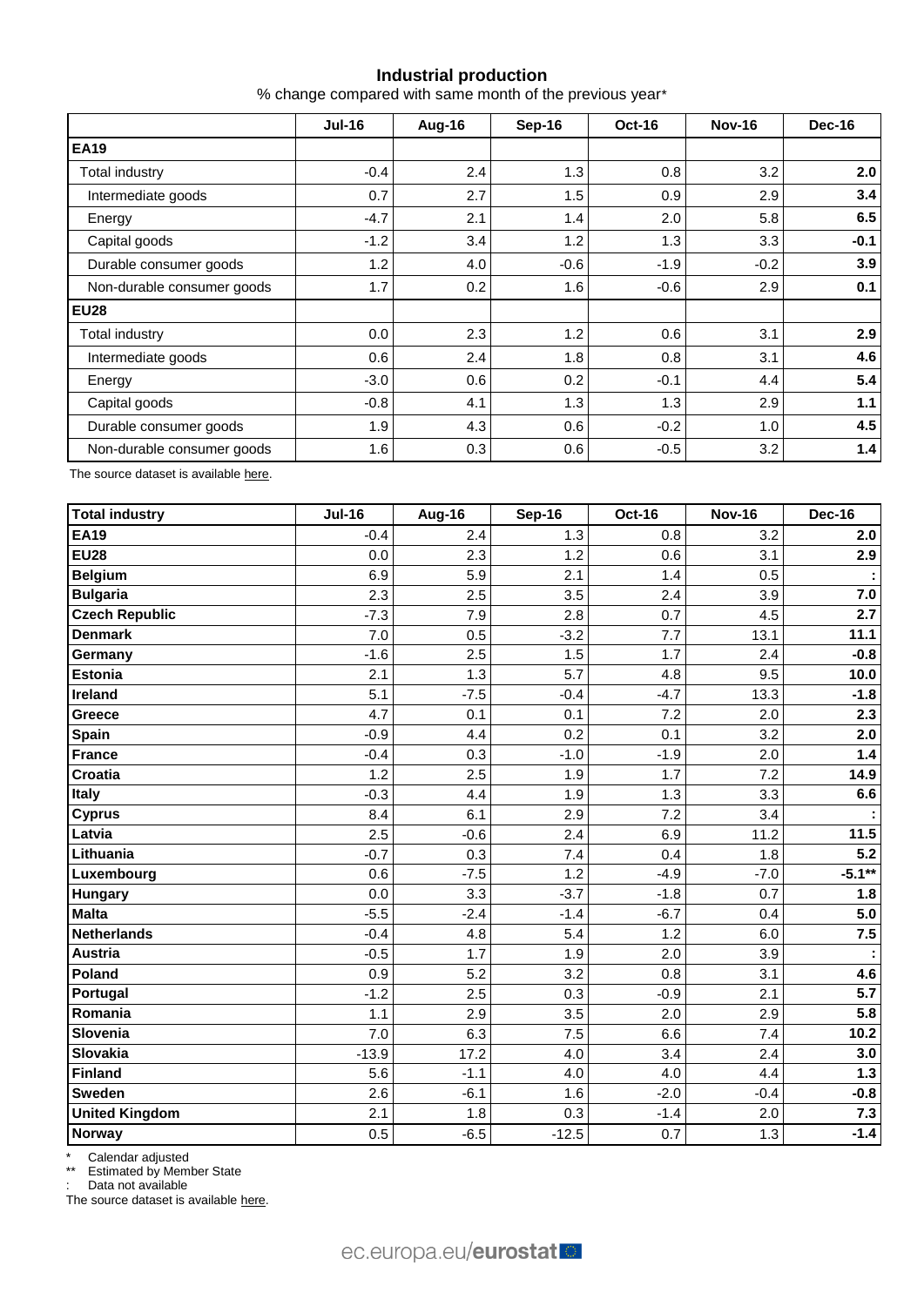## **Industrial production**

% change compared with same month of the previous year\*

|                            | <b>Jul-16</b> | Aug-16 | Sep-16 | <b>Oct-16</b> | <b>Nov-16</b> | Dec-16 |  |
|----------------------------|---------------|--------|--------|---------------|---------------|--------|--|
| <b>EA19</b>                |               |        |        |               |               |        |  |
| Total industry             | $-0.4$        | 2.4    | 1.3    | 0.8           | 3.2           | 2.0    |  |
| Intermediate goods         | 0.7           | 2.7    | 1.5    | 0.9           | 2.9           | 3.4    |  |
| Energy                     | $-4.7$        | 2.1    | 1.4    | 2.0           | 5.8           | 6.5    |  |
| Capital goods              | $-1.2$        | 3.4    | 1.2    | 1.3           | 3.3           | $-0.1$ |  |
| Durable consumer goods     | 1.2           | 4.0    | $-0.6$ | $-1.9$        | $-0.2$        | 3.9    |  |
| Non-durable consumer goods | 1.7           | 0.2    | 1.6    | $-0.6$        | 2.9           | 0.1    |  |
| <b>EU28</b>                |               |        |        |               |               |        |  |
| Total industry             | 0.0           | 2.3    | 1.2    | 0.6           | 3.1           | 2.9    |  |
| Intermediate goods         | 0.6           | 2.4    | 1.8    | 0.8           | 3.1           | 4.6    |  |
| Energy                     | $-3.0$        | 0.6    | 0.2    | $-0.1$        | 4.4           | 5.4    |  |
| Capital goods              | $-0.8$        | 4.1    | 1.3    | 1.3           | 2.9           | 1.1    |  |
| Durable consumer goods     | 1.9           | 4.3    | 0.6    | $-0.2$        | 1.0           | 4.5    |  |
| Non-durable consumer goods | 1.6           | 0.3    | 0.6    | $-0.5$        | 3.2           | 1.4    |  |

The source dataset is availabl[e here.](http://appsso.eurostat.ec.europa.eu/nui/show.do?query=BOOKMARK_DS-069583_QID_-628F3FF0_UID_-3F171EB0&layout=TIME,C,X,0;GEO,L,Y,0;NACE_R2,L,Y,1;INDIC_BT,L,Z,0;S_ADJ,L,Z,1;UNIT,L,Z,2;INDICATORS,C,Z,3;&zSelection=DS-069583UNIT,PCH_PRE;DS-069583S_ADJ,SCA;DS-069583INDIC_BT,PROD;DS-069583INDICATORS,OBS_FLAG;&rankName1=UNIT_1_2_-1_2&rankName2=INDIC-BT_1_2_-1_2&rankName3=INDICATORS_1_2_-1_2&rankName4=S-ADJ_1_2_-1_2&rankName5=TIME_1_0_0_0&rankName6=GEO_1_0_0_1&rankName7=NACE-R2_1_2_1_1&sortR=ASC_-1_FIRST&sortC=ASC_-1_FIRST&rStp=&cStp=&rDCh=&cDCh=&rDM=true&cDM=true&footnes=false&empty=false&wai=false&time_mode=ROLLING&time_most_recent=true&lang=EN&cfo=%23%23%23%2C%23%23%23.%23%23%23)

| <b>Total industry</b> | <b>Jul-16</b> | Aug-16 | <b>Sep-16</b> | <b>Oct-16</b> | <b>Nov-16</b> | <b>Dec-16</b> |
|-----------------------|---------------|--------|---------------|---------------|---------------|---------------|
| <b>EA19</b>           | $-0.4$        | 2.4    | 1.3           | 0.8           | 3.2           | 2.0           |
| <b>EU28</b>           | 0.0           | 2.3    | 1.2           | 0.6           | 3.1           | 2.9           |
| <b>Belgium</b>        | 6.9           | 5.9    | 2.1           | 1.4           | 0.5           | ÷.            |
| <b>Bulgaria</b>       | 2.3           | 2.5    | 3.5           | 2.4           | 3.9           | 7.0           |
| <b>Czech Republic</b> | $-7.3$        | 7.9    | 2.8           | 0.7           | 4.5           | 2.7           |
| <b>Denmark</b>        | 7.0           | 0.5    | $-3.2$        | 7.7           | 13.1          | 11.1          |
| Germany               | $-1.6$        | 2.5    | 1.5           | 1.7           | 2.4           | $-0.8$        |
| <b>Estonia</b>        | 2.1           | 1.3    | 5.7           | 4.8           | 9.5           | 10.0          |
| Ireland               | 5.1           | $-7.5$ | $-0.4$        | $-4.7$        | 13.3          | $-1.8$        |
| Greece                | 4.7           | 0.1    | 0.1           | 7.2           | 2.0           | 2.3           |
| <b>Spain</b>          | $-0.9$        | 4.4    | 0.2           | 0.1           | 3.2           | 2.0           |
| <b>France</b>         | $-0.4$        | 0.3    | $-1.0$        | $-1.9$        | 2.0           | 1.4           |
| Croatia               | 1.2           | 2.5    | 1.9           | 1.7           | 7.2           | 14.9          |
| <b>T</b> taly         | $-0.3$        | 4.4    | 1.9           | 1.3           | 3.3           | 6.6           |
| <b>Cyprus</b>         | 8.4           | 6.1    | 2.9           | 7.2           | 3.4           |               |
| Latvia                | 2.5           | $-0.6$ | 2.4           | 6.9           | 11.2          | 11.5          |
| Lithuania             | $-0.7$        | 0.3    | 7.4           | 0.4           | 1.8           | 5.2           |
| Luxembourg            | 0.6           | $-7.5$ | 1.2           | $-4.9$        | $-7.0$        | $-5.1**$      |
| <b>Hungary</b>        | 0.0           | 3.3    | $-3.7$        | $-1.8$        | 0.7           | 1.8           |
| <b>Malta</b>          | $-5.5$        | $-2.4$ | $-1.4$        | $-6.7$        | 0.4           | 5.0           |
| <b>Netherlands</b>    | $-0.4$        | 4.8    | 5.4           | 1.2           | 6.0           | 7.5           |
| <b>Austria</b>        | $-0.5$        | 1.7    | 1.9           | 2.0           | 3.9           | ÷             |
| Poland                | 0.9           | 5.2    | 3.2           | 0.8           | 3.1           | 4.6           |
| Portugal              | $-1.2$        | 2.5    | 0.3           | $-0.9$        | 2.1           | 5.7           |
| Romania               | 1.1           | 2.9    | 3.5           | 2.0           | 2.9           | 5.8           |
| Slovenia              | 7.0           | 6.3    | 7.5           | 6.6           | 7.4           | 10.2          |
| Slovakia              | $-13.9$       | 17.2   | 4.0           | 3.4           | 2.4           | 3.0           |
| Finland               | 5.6           | $-1.1$ | 4.0           | 4.0           | 4.4           | $1.3$         |
| <b>Sweden</b>         | 2.6           | $-6.1$ | 1.6           | $-2.0$        | $-0.4$        | $-0.8$        |
| <b>United Kingdom</b> | 2.1           | 1.8    | 0.3           | $-1.4$        | 2.0           | 7.3           |
| Norway                | 0.5           | $-6.5$ | $-12.5$       | 0.7           | 1.3           | $-1.4$        |

\* Calendar adjusted

\*\* Estimated by Member State

: Data not available

The source dataset is available [here.](http://appsso.eurostat.ec.europa.eu/nui/show.do?query=BOOKMARK_DS-069583_QID_690FAA53_UID_-3F171EB0&layout=TIME,C,X,0;GEO,L,Y,0;NACE_R2,L,Y,1;INDIC_BT,L,Z,0;S_ADJ,L,Z,1;UNIT,L,Z,2;INDICATORS,C,Z,3;&zSelection=DS-069583UNIT,PCH_SM;DS-069583S_ADJ,CA;DS-069583INDIC_BT,PROD;DS-069583INDICATORS,OBS_FLAG;&rankName1=UNIT_1_2_-1_2&rankName2=INDIC-BT_1_2_-1_2&rankName3=INDICATORS_1_2_-1_2&rankName4=S-ADJ_1_2_-1_2&rankName5=TIME_1_0_0_0&rankName6=GEO_1_2_0_1&rankName7=NACE-R2_1_2_1_1&sortC=ASC_-1_FIRST&rStp=&cStp=&rDCh=&cDCh=&rDM=true&cDM=true&footnes=false&empty=false&wai=false&time_mode=ROLLING&time_most_recent=true&lang=EN&cfo=%23%23%23%2C%23%23%23.%23%23%23)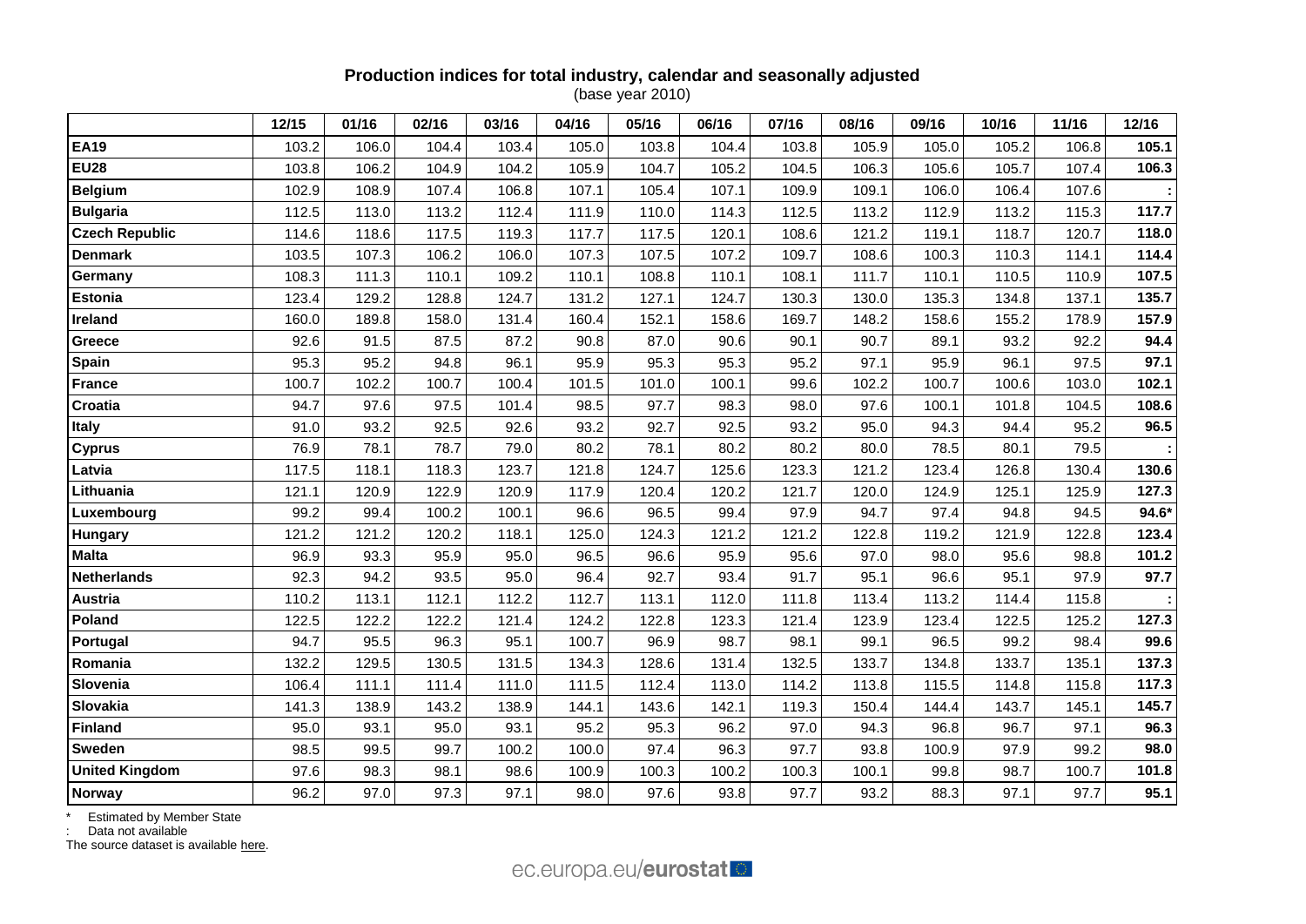### **Production indices for total industry, calendar and seasonally adjusted** (base year 2010)

|                       | 12/15 | 01/16 | 02/16 | 03/16 | 04/16 | 05/16 | 06/16 | 07/16 | 08/16 | 09/16 | 10/16 | 11/16 | 12/16   |
|-----------------------|-------|-------|-------|-------|-------|-------|-------|-------|-------|-------|-------|-------|---------|
| <b>EA19</b>           | 103.2 | 106.0 | 104.4 | 103.4 | 105.0 | 103.8 | 104.4 | 103.8 | 105.9 | 105.0 | 105.2 | 106.8 | 105.1   |
| <b>EU28</b>           | 103.8 | 106.2 | 104.9 | 104.2 | 105.9 | 104.7 | 105.2 | 104.5 | 106.3 | 105.6 | 105.7 | 107.4 | 106.3   |
| <b>Belgium</b>        | 102.9 | 108.9 | 107.4 | 106.8 | 107.1 | 105.4 | 107.1 | 109.9 | 109.1 | 106.0 | 106.4 | 107.6 |         |
| <b>Bulgaria</b>       | 112.5 | 113.0 | 113.2 | 112.4 | 111.9 | 110.0 | 114.3 | 112.5 | 113.2 | 112.9 | 113.2 | 115.3 | 117.7   |
| <b>Czech Republic</b> | 114.6 | 118.6 | 117.5 | 119.3 | 117.7 | 117.5 | 120.1 | 108.6 | 121.2 | 119.1 | 118.7 | 120.7 | 118.0   |
| <b>Denmark</b>        | 103.5 | 107.3 | 106.2 | 106.0 | 107.3 | 107.5 | 107.2 | 109.7 | 108.6 | 100.3 | 110.3 | 114.1 | 114.4   |
| Germany               | 108.3 | 111.3 | 110.1 | 109.2 | 110.1 | 108.8 | 110.1 | 108.1 | 111.7 | 110.1 | 110.5 | 110.9 | 107.5   |
| Estonia               | 123.4 | 129.2 | 128.8 | 124.7 | 131.2 | 127.1 | 124.7 | 130.3 | 130.0 | 135.3 | 134.8 | 137.1 | 135.7   |
| Ireland               | 160.0 | 189.8 | 158.0 | 131.4 | 160.4 | 152.1 | 158.6 | 169.7 | 148.2 | 158.6 | 155.2 | 178.9 | 157.9   |
| Greece                | 92.6  | 91.5  | 87.5  | 87.2  | 90.8  | 87.0  | 90.6  | 90.1  | 90.7  | 89.1  | 93.2  | 92.2  | 94.4    |
| Spain                 | 95.3  | 95.2  | 94.8  | 96.1  | 95.9  | 95.3  | 95.3  | 95.2  | 97.1  | 95.9  | 96.1  | 97.5  | 97.1    |
| <b>France</b>         | 100.7 | 102.2 | 100.7 | 100.4 | 101.5 | 101.0 | 100.1 | 99.6  | 102.2 | 100.7 | 100.6 | 103.0 | 102.1   |
| Croatia               | 94.7  | 97.6  | 97.5  | 101.4 | 98.5  | 97.7  | 98.3  | 98.0  | 97.6  | 100.1 | 101.8 | 104.5 | 108.6   |
| Italy                 | 91.0  | 93.2  | 92.5  | 92.6  | 93.2  | 92.7  | 92.5  | 93.2  | 95.0  | 94.3  | 94.4  | 95.2  | 96.5    |
| <b>Cyprus</b>         | 76.9  | 78.1  | 78.7  | 79.0  | 80.2  | 78.1  | 80.2  | 80.2  | 80.0  | 78.5  | 80.1  | 79.5  |         |
| Latvia                | 117.5 | 118.1 | 118.3 | 123.7 | 121.8 | 124.7 | 125.6 | 123.3 | 121.2 | 123.4 | 126.8 | 130.4 | 130.6   |
| Lithuania             | 121.1 | 120.9 | 122.9 | 120.9 | 117.9 | 120.4 | 120.2 | 121.7 | 120.0 | 124.9 | 125.1 | 125.9 | 127.3   |
| Luxembourg            | 99.2  | 99.4  | 100.2 | 100.1 | 96.6  | 96.5  | 99.4  | 97.9  | 94.7  | 97.4  | 94.8  | 94.5  | $94.6*$ |
| Hungary               | 121.2 | 121.2 | 120.2 | 118.1 | 125.0 | 124.3 | 121.2 | 121.2 | 122.8 | 119.2 | 121.9 | 122.8 | 123.4   |
| <b>Malta</b>          | 96.9  | 93.3  | 95.9  | 95.0  | 96.5  | 96.6  | 95.9  | 95.6  | 97.0  | 98.0  | 95.6  | 98.8  | 101.2   |
| <b>Netherlands</b>    | 92.3  | 94.2  | 93.5  | 95.0  | 96.4  | 92.7  | 93.4  | 91.7  | 95.1  | 96.6  | 95.1  | 97.9  | 97.7    |
| <b>Austria</b>        | 110.2 | 113.1 | 112.1 | 112.2 | 112.7 | 113.1 | 112.0 | 111.8 | 113.4 | 113.2 | 114.4 | 115.8 |         |
| Poland                | 122.5 | 122.2 | 122.2 | 121.4 | 124.2 | 122.8 | 123.3 | 121.4 | 123.9 | 123.4 | 122.5 | 125.2 | 127.3   |
| Portugal              | 94.7  | 95.5  | 96.3  | 95.1  | 100.7 | 96.9  | 98.7  | 98.1  | 99.1  | 96.5  | 99.2  | 98.4  | 99.6    |
| Romania               | 132.2 | 129.5 | 130.5 | 131.5 | 134.3 | 128.6 | 131.4 | 132.5 | 133.7 | 134.8 | 133.7 | 135.1 | 137.3   |
| Slovenia              | 106.4 | 111.1 | 111.4 | 111.0 | 111.5 | 112.4 | 113.0 | 114.2 | 113.8 | 115.5 | 114.8 | 115.8 | 117.3   |
| Slovakia              | 141.3 | 138.9 | 143.2 | 138.9 | 144.1 | 143.6 | 142.1 | 119.3 | 150.4 | 144.4 | 143.7 | 145.1 | 145.7   |
| <b>Finland</b>        | 95.0  | 93.1  | 95.0  | 93.1  | 95.2  | 95.3  | 96.2  | 97.0  | 94.3  | 96.8  | 96.7  | 97.1  | 96.3    |
| <b>Sweden</b>         | 98.5  | 99.5  | 99.7  | 100.2 | 100.0 | 97.4  | 96.3  | 97.7  | 93.8  | 100.9 | 97.9  | 99.2  | 98.0    |
| <b>United Kingdom</b> | 97.6  | 98.3  | 98.1  | 98.6  | 100.9 | 100.3 | 100.2 | 100.3 | 100.1 | 99.8  | 98.7  | 100.7 | 101.8   |
| Norway                | 96.2  | 97.0  | 97.3  | 97.1  | 98.0  | 97.6  | 93.8  | 97.7  | 93.2  | 88.3  | 97.1  | 97.7  | 95.1    |

\* Estimated by Member State

: Data not available

The source dataset is available [here.](http://appsso.eurostat.ec.europa.eu/nui/show.do?query=BOOKMARK_DS-069583_QID_24071044_UID_-3F171EB0&layout=TIME,C,X,0;GEO,L,Y,0;INDIC_BT,L,Z,0;S_ADJ,L,Z,1;UNIT,L,Z,2;NACE_R2,L,Z,3;INDICATORS,C,Z,4;&zSelection=DS-069583UNIT,I10;DS-069583S_ADJ,SCA;DS-069583INDIC_BT,PROD;DS-069583INDICATORS,OBS_FLAG;DS-069583NACE_R2,B-D;&rankName1=UNIT_1_2_-1_2&rankName2=INDIC-BT_1_2_-1_2&rankName3=INDICATORS_1_2_-1_2&rankName4=S-ADJ_1_2_-1_2&rankName5=NACE-R2_1_2_1_1&rankName6=TIME_1_0_0_0&rankName7=GEO_1_2_0_1&sortC=ASC_-1_FIRST&rStp=&cStp=&rDCh=&cDCh=&rDM=true&cDM=true&footnes=false&empty=false&wai=false&time_mode=ROLLING&time_most_recent=true&lang=EN&cfo=%23%23%23%2C%23%23%23.%23%23%23)